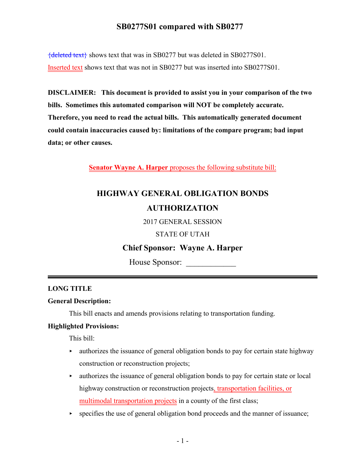{deleted text} shows text that was in SB0277 but was deleted in SB0277S01. Inserted text shows text that was not in SB0277 but was inserted into SB0277S01.

**DISCLAIMER: This document is provided to assist you in your comparison of the two bills. Sometimes this automated comparison will NOT be completely accurate. Therefore, you need to read the actual bills. This automatically generated document could contain inaccuracies caused by: limitations of the compare program; bad input data; or other causes.**

**Senator Wayne A. Harper** proposes the following substitute bill:

# **HIGHWAY GENERAL OBLIGATION BONDS AUTHORIZATION**

2017 GENERAL SESSION

STATE OF UTAH

### **Chief Sponsor: Wayne A. Harper**

House Sponsor:

### **LONG TITLE**

### **General Description:**

This bill enacts and amends provisions relating to transportation funding.

### **Highlighted Provisions:**

This bill:

- $\rightarrow$  authorizes the issuance of general obligation bonds to pay for certain state highway construction or reconstruction projects;
- $\blacktriangleright$  authorizes the issuance of general obligation bonds to pay for certain state or local highway construction or reconstruction projects, transportation facilities, or multimodal transportation projects in a county of the first class;
- $\rightarrow$  specifies the use of general obligation bond proceeds and the manner of issuance;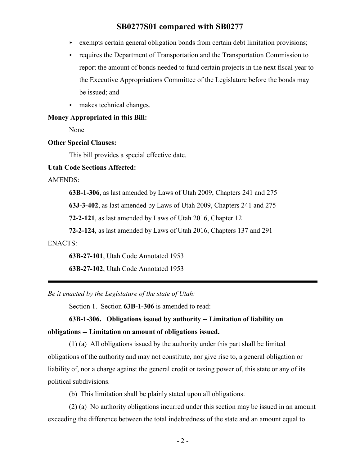- $\triangleright$  exempts certain general obligation bonds from certain debt limitation provisions;
- $\rightarrow$  requires the Department of Transportation and the Transportation Commission to report the amount of bonds needed to fund certain projects in the next fiscal year to the Executive Appropriations Committee of the Legislature before the bonds may be issued; and
- $\blacktriangleright$  makes technical changes.

#### **Money Appropriated in this Bill:**

None

#### **Other Special Clauses:**

This bill provides a special effective date.

#### **Utah Code Sections Affected:**

AMENDS:

**63B-1-306**, as last amended by Laws of Utah 2009, Chapters 241 and 275

**63J-3-402**, as last amended by Laws of Utah 2009, Chapters 241 and 275

**72-2-121**, as last amended by Laws of Utah 2016, Chapter 12

**72-2-124**, as last amended by Laws of Utah 2016, Chapters 137 and 291

#### ENACTS:

**63B-27-101**, Utah Code Annotated 1953

**63B-27-102**, Utah Code Annotated 1953

*Be it enacted by the Legislature of the state of Utah:*

Section 1. Section **63B-1-306** is amended to read:

**63B-1-306. Obligations issued by authority -- Limitation of liability on obligations -- Limitation on amount of obligations issued.**

(1) (a) All obligations issued by the authority under this part shall be limited obligations of the authority and may not constitute, nor give rise to, a general obligation or liability of, nor a charge against the general credit or taxing power of, this state or any of its political subdivisions.

(b) This limitation shall be plainly stated upon all obligations.

(2) (a) No authority obligations incurred under this section may be issued in an amount exceeding the difference between the total indebtedness of the state and an amount equal to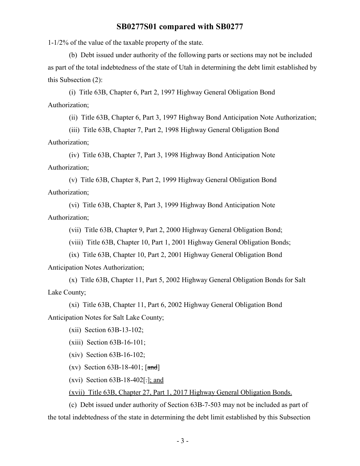1-1/2% of the value of the taxable property of the state.

(b) Debt issued under authority of the following parts or sections may not be included as part of the total indebtedness of the state of Utah in determining the debt limit established by this Subsection (2):

(i) Title 63B, Chapter 6, Part 2, 1997 Highway General Obligation Bond Authorization;

(ii) Title 63B, Chapter 6, Part 3, 1997 Highway Bond Anticipation Note Authorization;

(iii) Title 63B, Chapter 7, Part 2, 1998 Highway General Obligation Bond Authorization;

(iv) Title 63B, Chapter 7, Part 3, 1998 Highway Bond Anticipation Note Authorization;

(v) Title 63B, Chapter 8, Part 2, 1999 Highway General Obligation Bond Authorization;

(vi) Title 63B, Chapter 8, Part 3, 1999 Highway Bond Anticipation Note Authorization;

(vii) Title 63B, Chapter 9, Part 2, 2000 Highway General Obligation Bond;

(viii) Title 63B, Chapter 10, Part 1, 2001 Highway General Obligation Bonds;

(ix) Title 63B, Chapter 10, Part 2, 2001 Highway General Obligation Bond Anticipation Notes Authorization;

(x) Title 63B, Chapter 11, Part 5, 2002 Highway General Obligation Bonds for Salt Lake County;

(xi) Title 63B, Chapter 11, Part 6, 2002 Highway General Obligation Bond Anticipation Notes for Salt Lake County;

(xii) Section 63B-13-102;

(xiii) Section 63B-16-101;

(xiv) Section 63B-16-102;

(xv) Section  $63B-18-401$ ;  $\lceil \frac{\text{and}}{\text{and}} \rceil$ 

(xvi) Section  $63B-18-402$ [.]; and

(xvii) Title 63B, Chapter 27, Part 1, 2017 Highway General Obligation Bonds.

(c) Debt issued under authority of Section 63B-7-503 may not be included as part of the total indebtedness of the state in determining the debt limit established by this Subsection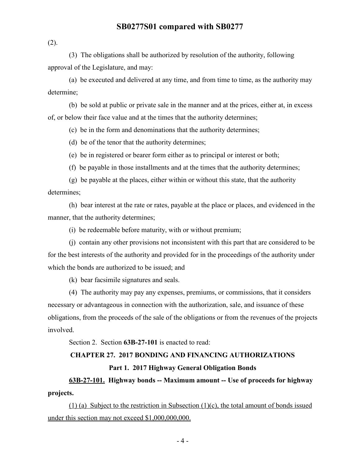(2).

(3) The obligations shall be authorized by resolution of the authority, following approval of the Legislature, and may:

(a) be executed and delivered at any time, and from time to time, as the authority may determine;

(b) be sold at public or private sale in the manner and at the prices, either at, in excess of, or below their face value and at the times that the authority determines;

(c) be in the form and denominations that the authority determines;

(d) be of the tenor that the authority determines;

(e) be in registered or bearer form either as to principal or interest or both;

(f) be payable in those installments and at the times that the authority determines;

(g) be payable at the places, either within or without this state, that the authority determines;

(h) bear interest at the rate or rates, payable at the place or places, and evidenced in the manner, that the authority determines;

(i) be redeemable before maturity, with or without premium;

(j) contain any other provisions not inconsistent with this part that are considered to be for the best interests of the authority and provided for in the proceedings of the authority under which the bonds are authorized to be issued; and

(k) bear facsimile signatures and seals.

(4) The authority may pay any expenses, premiums, or commissions, that it considers necessary or advantageous in connection with the authorization, sale, and issuance of these obligations, from the proceeds of the sale of the obligations or from the revenues of the projects involved.

Section 2. Section **63B-27-101** is enacted to read:

#### **CHAPTER 27. 2017 BONDING AND FINANCING AUTHORIZATIONS**

#### **Part 1. 2017 Highway General Obligation Bonds**

**63B-27-101. Highway bonds -- Maximum amount -- Use of proceeds for highway projects.**

(1) (a) Subject to the restriction in Subsection (1)(c), the total amount of bonds issued under this section may not exceed \$1,000,000,000.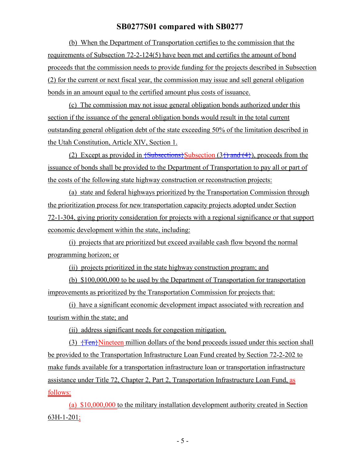(b) When the Department of Transportation certifies to the commission that the requirements of Subsection 72-2-124(5) have been met and certifies the amount of bond proceeds that the commission needs to provide funding for the projects described in Subsection (2) for the current or next fiscal year, the commission may issue and sell general obligation bonds in an amount equal to the certified amount plus costs of issuance.

(c) The commission may not issue general obligation bonds authorized under this section if the issuance of the general obligation bonds would result in the total current outstanding general obligation debt of the state exceeding 50% of the limitation described in the Utah Constitution, Article XIV, Section 1.

(2) Except as provided in  $\{\text{Subsections}\}\$ Subsection (3 $\{\}$ ) and (4 $\}$ ), proceeds from the issuance of bonds shall be provided to the Department of Transportation to pay all or part of the costs of the following state highway construction or reconstruction projects:

(a) state and federal highways prioritized by the Transportation Commission through the prioritization process for new transportation capacity projects adopted under Section 72-1-304, giving priority consideration for projects with a regional significance or that support economic development within the state, including:

(i) projects that are prioritized but exceed available cash flow beyond the normal programming horizon; or

(ii) projects prioritized in the state highway construction program; and

(b) \$100,000,000 to be used by the Department of Transportation for transportation improvements as prioritized by the Transportation Commission for projects that:

(i) have a significant economic development impact associated with recreation and tourism within the state; and

(ii) address significant needs for congestion mitigation.

(3)  $\{Ten\}$ Nineteen million dollars of the bond proceeds issued under this section shall be provided to the Transportation Infrastructure Loan Fund created by Section 72-2-202 to make funds available for a transportation infrastructure loan or transportation infrastructure assistance under Title 72, Chapter 2, Part 2, Transportation Infrastructure Loan Fund, as follows:

(a) \$10,000,000 to the military installation development authority created in Section 63H-1-201;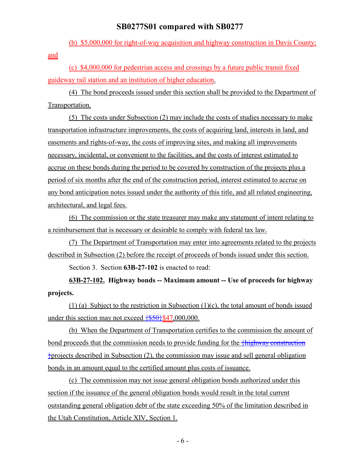(b) \$5,000,000 for right-of-way acquisition and highway construction in Davis County; and

(c) \$4,000,000 for pedestrian access and crossings by a future public transit fixed guideway rail station and an institution of higher education.

(4) The bond proceeds issued under this section shall be provided to the Department of Transportation.

(5) The costs under Subsection (2) may include the costs of studies necessary to make transportation infrastructure improvements, the costs of acquiring land, interests in land, and easements and rights-of-way, the costs of improving sites, and making all improvements necessary, incidental, or convenient to the facilities, and the costs of interest estimated to accrue on these bonds during the period to be covered by construction of the projects plus a period of six months after the end of the construction period, interest estimated to accrue on any bond anticipation notes issued under the authority of this title, and all related engineering, architectural, and legal fees.

(6) The commission or the state treasurer may make any statement of intent relating to a reimbursement that is necessary or desirable to comply with federal tax law.

(7) The Department of Transportation may enter into agreements related to the projects described in Subsection (2) before the receipt of proceeds of bonds issued under this section.

Section 3. Section **63B-27-102** is enacted to read:

**63B-27-102. Highway bonds -- Maximum amount -- Use of proceeds for highway projects.**

(1) (a) Subject to the restriction in Subsection (1)(c), the total amount of bonds issued under this section may not exceed  $\{\$50\}$ \$47,000,000.

(b) When the Department of Transportation certifies to the commission the amount of bond proceeds that the commission needs to provide funding for the  $\frac{f\text{highway construction}}{f\text{highway construction}}$  $\dagger$ projects described in Subsection (2), the commission may issue and sell general obligation bonds in an amount equal to the certified amount plus costs of issuance.

(c) The commission may not issue general obligation bonds authorized under this section if the issuance of the general obligation bonds would result in the total current outstanding general obligation debt of the state exceeding 50% of the limitation described in the Utah Constitution, Article XIV, Section 1.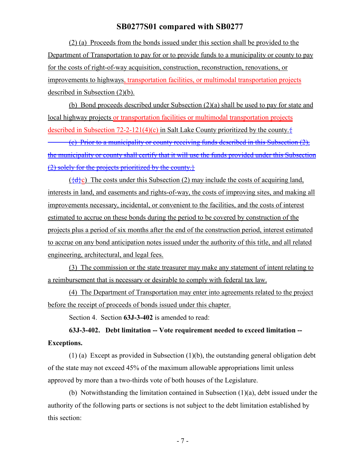(2) (a) Proceeds from the bonds issued under this section shall be provided to the Department of Transportation to pay for or to provide funds to a municipality or county to pay for the costs of right-of-way acquisition, construction, reconstruction, renovations, or improvements to highways, transportation facilities, or multimodal transportation projects described in Subsection (2)(b).

(b) Bond proceeds described under Subsection (2)(a) shall be used to pay for state and local highway projects or transportation facilities or multimodal transportation projects described in Subsection 72-2-121(4)(c) in Salt Lake County prioritized by the county. $\frac{1}{2}$ 

(c) Prior to a municipality or county receiving funds described in this Subsection (2), the municipality or county shall certify that it will use the funds provided under this Subsection  $(2)$  solely for the projects prioritized by the county.}

 $({a} \cdot {\bf d})$  The costs under this Subsection (2) may include the costs of acquiring land, interests in land, and easements and rights-of-way, the costs of improving sites, and making all improvements necessary, incidental, or convenient to the facilities, and the costs of interest estimated to accrue on these bonds during the period to be covered by construction of the projects plus a period of six months after the end of the construction period, interest estimated to accrue on any bond anticipation notes issued under the authority of this title, and all related engineering, architectural, and legal fees.

(3) The commission or the state treasurer may make any statement of intent relating to a reimbursement that is necessary or desirable to comply with federal tax law.

(4) The Department of Transportation may enter into agreements related to the project before the receipt of proceeds of bonds issued under this chapter.

Section 4. Section **63J-3-402** is amended to read:

**63J-3-402. Debt limitation -- Vote requirement needed to exceed limitation -- Exceptions.**

(1) (a) Except as provided in Subsection (1)(b), the outstanding general obligation debt of the state may not exceed 45% of the maximum allowable appropriations limit unless approved by more than a two-thirds vote of both houses of the Legislature.

(b) Notwithstanding the limitation contained in Subsection  $(1)(a)$ , debt issued under the authority of the following parts or sections is not subject to the debt limitation established by this section: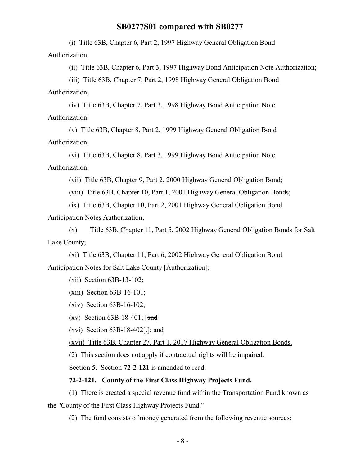(i) Title 63B, Chapter 6, Part 2, 1997 Highway General Obligation Bond Authorization;

(ii) Title 63B, Chapter 6, Part 3, 1997 Highway Bond Anticipation Note Authorization;

(iii) Title 63B, Chapter 7, Part 2, 1998 Highway General Obligation Bond

Authorization;

(iv) Title 63B, Chapter 7, Part 3, 1998 Highway Bond Anticipation Note Authorization;

(v) Title 63B, Chapter 8, Part 2, 1999 Highway General Obligation Bond Authorization;

(vi) Title 63B, Chapter 8, Part 3, 1999 Highway Bond Anticipation Note Authorization;

(vii) Title 63B, Chapter 9, Part 2, 2000 Highway General Obligation Bond;

(viii) Title 63B, Chapter 10, Part 1, 2001 Highway General Obligation Bonds;

(ix) Title 63B, Chapter 10, Part 2, 2001 Highway General Obligation Bond Anticipation Notes Authorization;

(x) Title 63B, Chapter 11, Part 5, 2002 Highway General Obligation Bonds for Salt Lake County;

(xi) Title 63B, Chapter 11, Part 6, 2002 Highway General Obligation Bond Anticipation Notes for Salt Lake County [Authorization];

(xii) Section 63B-13-102;

- (xiii) Section 63B-16-101;
- (xiv) Section 63B-16-102;
- (xv) Section  $63B-18-401$ ;  $[\text{and}]$

(xvi) Section  $63B-18-402$  [: ]; and

(xvii) Title 63B, Chapter 27, Part 1, 2017 Highway General Obligation Bonds.

(2) This section does not apply if contractual rights will be impaired.

Section 5. Section **72-2-121** is amended to read:

#### **72-2-121. County of the First Class Highway Projects Fund.**

(1) There is created a special revenue fund within the Transportation Fund known as the "County of the First Class Highway Projects Fund."

(2) The fund consists of money generated from the following revenue sources: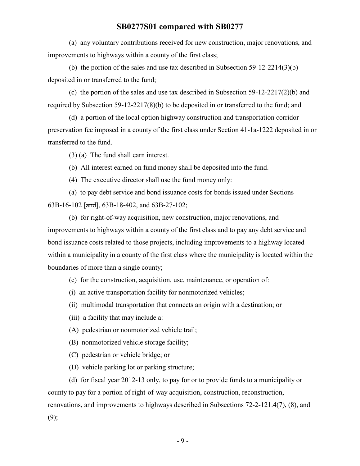(a) any voluntary contributions received for new construction, major renovations, and improvements to highways within a county of the first class;

(b) the portion of the sales and use tax described in Subsection 59-12-2214(3)(b) deposited in or transferred to the fund;

(c) the portion of the sales and use tax described in Subsection 59-12-2217(2)(b) and required by Subsection 59-12-2217(8)(b) to be deposited in or transferred to the fund; and

(d) a portion of the local option highway construction and transportation corridor preservation fee imposed in a county of the first class under Section 41-1a-1222 deposited in or transferred to the fund.

(3) (a) The fund shall earn interest.

(b) All interest earned on fund money shall be deposited into the fund.

(4) The executive director shall use the fund money only:

(a) to pay debt service and bond issuance costs for bonds issued under Sections 63B-16-102 [and], 63B-18-402, and 63B-27-102;

(b) for right-of-way acquisition, new construction, major renovations, and improvements to highways within a county of the first class and to pay any debt service and bond issuance costs related to those projects, including improvements to a highway located within a municipality in a county of the first class where the municipality is located within the boundaries of more than a single county;

(c) for the construction, acquisition, use, maintenance, or operation of:

(i) an active transportation facility for nonmotorized vehicles;

(ii) multimodal transportation that connects an origin with a destination; or

(iii) a facility that may include a:

(A) pedestrian or nonmotorized vehicle trail;

(B) nonmotorized vehicle storage facility;

(C) pedestrian or vehicle bridge; or

(D) vehicle parking lot or parking structure;

(d) for fiscal year 2012-13 only, to pay for or to provide funds to a municipality or county to pay for a portion of right-of-way acquisition, construction, reconstruction, renovations, and improvements to highways described in Subsections 72-2-121.4(7), (8), and  $(9);$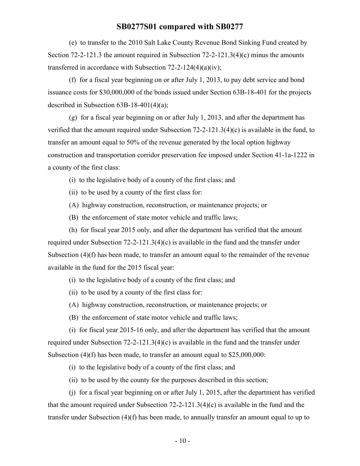(e) to transfer to the 2010 Salt Lake County Revenue Bond Sinking Fund created by Section 72-2-121.3 the amount required in Subsection 72-2-121.3(4)(c) minus the amounts transferred in accordance with Subsection  $72-2-124(4)(a)(iv)$ ;

(f) for a fiscal year beginning on or after July 1, 2013, to pay debt service and bond issuance costs for \$30,000,000 of the bonds issued under Section 63B-18-401 for the projects described in Subsection 63B-18-401(4)(a);

(g) for a fiscal year beginning on or after July 1, 2013, and after the department has verified that the amount required under Subsection 72-2-121.3(4)(c) is available in the fund, to transfer an amount equal to 50% of the revenue generated by the local option highway construction and transportation corridor preservation fee imposed under Section 41-1a-1222 in a county of the first class:

- (i) to the legislative body of a county of the first class; and
- (ii) to be used by a county of the first class for:
- (A) highway construction, reconstruction, or maintenance projects; or
- (B) the enforcement of state motor vehicle and traffic laws;

(h) for fiscal year 2015 only, and after the department has verified that the amount required under Subsection 72-2-121.3(4)(c) is available in the fund and the transfer under Subsection (4)(f) has been made, to transfer an amount equal to the remainder of the revenue available in the fund for the 2015 fiscal year:

(i) to the legislative body of a county of the first class; and

- (ii) to be used by a county of the first class for:
- (A) highway construction, reconstruction, or maintenance projects; or
- (B) the enforcement of state motor vehicle and traffic laws;

(i) for fiscal year 2015-16 only, and after the department has verified that the amount required under Subsection 72-2-121.3(4)(c) is available in the fund and the transfer under Subsection (4)(f) has been made, to transfer an amount equal to \$25,000,000:

- (i) to the legislative body of a county of the first class; and
- (ii) to be used by the county for the purposes described in this section;

(j) for a fiscal year beginning on or after July 1, 2015, after the department has verified that the amount required under Subsection 72-2-121.3(4)(c) is available in the fund and the transfer under Subsection (4)(f) has been made, to annually transfer an amount equal to up to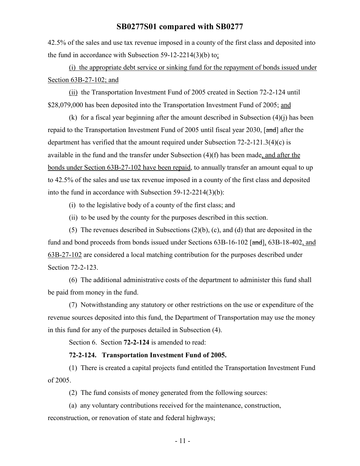42.5% of the sales and use tax revenue imposed in a county of the first class and deposited into the fund in accordance with Subsection 59-12-2214(3)(b) to:

(i) the appropriate debt service or sinking fund for the repayment of bonds issued under Section 63B-27-102; and

(ii) the Transportation Investment Fund of 2005 created in Section 72-2-124 until \$28,079,000 has been deposited into the Transportation Investment Fund of 2005; and

(k) for a fiscal year beginning after the amount described in Subsection (4)(j) has been repaid to the Transportation Investment Fund of 2005 until fiscal year 2030,  $\lceil \frac{\text{and}}{\text{and}} \rceil$  after the department has verified that the amount required under Subsection 72-2-121.3(4)(c) is available in the fund and the transfer under Subsection (4)(f) has been made, and after the bonds under Section 63B-27-102 have been repaid, to annually transfer an amount equal to up to 42.5% of the sales and use tax revenue imposed in a county of the first class and deposited into the fund in accordance with Subsection 59-12-2214(3)(b):

(i) to the legislative body of a county of the first class; and

(ii) to be used by the county for the purposes described in this section.

(5) The revenues described in Subsections (2)(b), (c), and (d) that are deposited in the fund and bond proceeds from bonds issued under Sections 63B-16-102 [and], 63B-18-402, and 63B-27-102 are considered a local matching contribution for the purposes described under Section 72-2-123.

(6) The additional administrative costs of the department to administer this fund shall be paid from money in the fund.

(7) Notwithstanding any statutory or other restrictions on the use or expenditure of the revenue sources deposited into this fund, the Department of Transportation may use the money in this fund for any of the purposes detailed in Subsection (4).

Section 6. Section **72-2-124** is amended to read:

#### **72-2-124. Transportation Investment Fund of 2005.**

(1) There is created a capital projects fund entitled the Transportation Investment Fund of 2005.

(2) The fund consists of money generated from the following sources:

(a) any voluntary contributions received for the maintenance, construction,

reconstruction, or renovation of state and federal highways;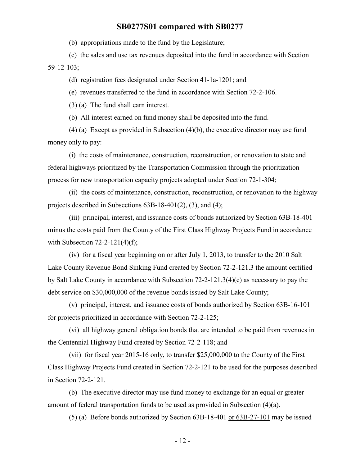(b) appropriations made to the fund by the Legislature;

(c) the sales and use tax revenues deposited into the fund in accordance with Section 59-12-103;

(d) registration fees designated under Section 41-1a-1201; and

(e) revenues transferred to the fund in accordance with Section 72-2-106.

(3) (a) The fund shall earn interest.

(b) All interest earned on fund money shall be deposited into the fund.

(4) (a) Except as provided in Subsection (4)(b), the executive director may use fund money only to pay:

(i) the costs of maintenance, construction, reconstruction, or renovation to state and federal highways prioritized by the Transportation Commission through the prioritization process for new transportation capacity projects adopted under Section 72-1-304;

(ii) the costs of maintenance, construction, reconstruction, or renovation to the highway projects described in Subsections 63B-18-401(2), (3), and (4);

(iii) principal, interest, and issuance costs of bonds authorized by Section 63B-18-401 minus the costs paid from the County of the First Class Highway Projects Fund in accordance with Subsection  $72-2-121(4)(f)$ ;

(iv) for a fiscal year beginning on or after July 1, 2013, to transfer to the 2010 Salt Lake County Revenue Bond Sinking Fund created by Section 72-2-121.3 the amount certified by Salt Lake County in accordance with Subsection 72-2-121.3(4)(c) as necessary to pay the debt service on \$30,000,000 of the revenue bonds issued by Salt Lake County;

(v) principal, interest, and issuance costs of bonds authorized by Section 63B-16-101 for projects prioritized in accordance with Section 72-2-125;

(vi) all highway general obligation bonds that are intended to be paid from revenues in the Centennial Highway Fund created by Section 72-2-118; and

(vii) for fiscal year 2015-16 only, to transfer \$25,000,000 to the County of the First Class Highway Projects Fund created in Section 72-2-121 to be used for the purposes described in Section 72-2-121.

(b) The executive director may use fund money to exchange for an equal or greater amount of federal transportation funds to be used as provided in Subsection (4)(a).

(5) (a) Before bonds authorized by Section 63B-18-401 or 63B-27-101 may be issued